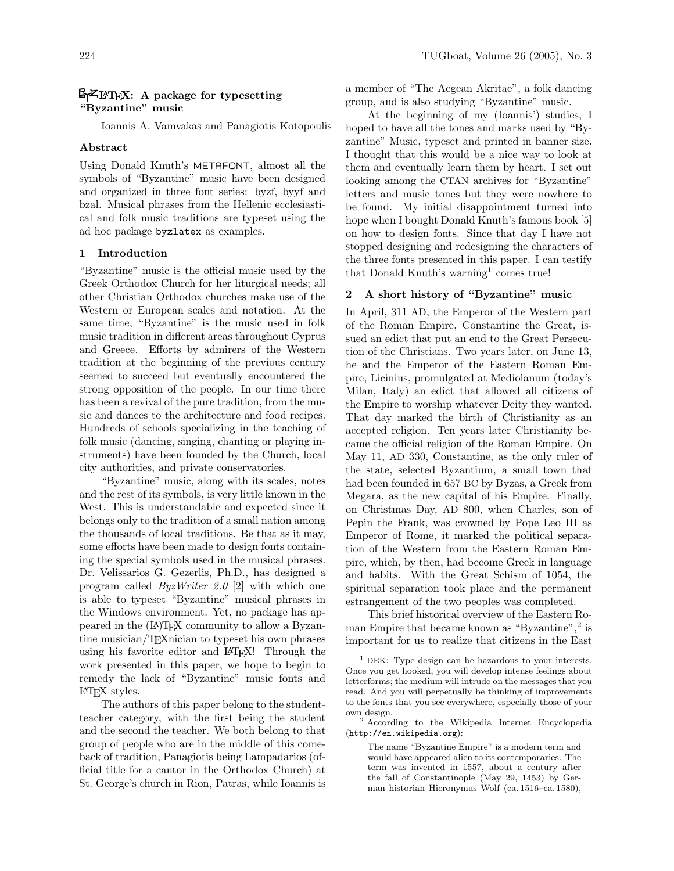# $\mathbb{S}$ ZI: A package for typesetting "Byzantine" music

Ioannis A. Vamvakas and Panagiotis Kotopoulis

### Abstract

Using Donald Knuth's METAFONT, almost all the symbols of "Byzantine" music have been designed and organized in three font series: byzf, byyf and bzal. Musical phrases from the Hellenic ecclesiastical and folk music traditions are typeset using the ad hoc package byzlatex as examples.

### 1 Introduction

"Byzantine" music is the official music used by the Greek Orthodox Church for her liturgical needs; all other Christian Orthodox churches make use of the Western or European scales and notation. At the same time, "Byzantine" is the music used in folk music tradition in different areas throughout Cyprus and Greece. Efforts by admirers of the Western tradition at the beginning of the previous century seemed to succeed but eventually encountered the strong opposition of the people. In our time there has been a revival of the pure tradition, from the music and dances to the architecture and food recipes. Hundreds of schools specializing in the teaching of folk music (dancing, singing, chanting or playing instruments) have been founded by the Church, local city authorities, and private conservatories.

"Byzantine" music, along with its scales, notes and the rest of its symbols, is very little known in the West. This is understandable and expected since it belongs only to the tradition of a small nation among the thousands of local traditions. Be that as it may, some efforts have been made to design fonts containing the special symbols used in the musical phrases. Dr. Velissarios G. Gezerlis, Ph.D., has designed a program called ByzWriter 2.0 [2] with which one is able to typeset "Byzantine" musical phrases in the Windows environment. Yet, no package has appeared in the (L<sup>A</sup>)TEX community to allow a Byzantine musician/TEXnician to typeset his own phrases using his favorite editor and L<sup>A</sup>TEX! Through the work presented in this paper, we hope to begin to remedy the lack of "Byzantine" music fonts and L<sup>A</sup>TEX styles.

The authors of this paper belong to the studentteacher category, with the first being the student and the second the teacher. We both belong to that group of people who are in the middle of this comeback of tradition, Panagiotis being Lampadarios (official title for a cantor in the Orthodox Church) at St. George's church in Rion, Patras, while Ioannis is

a member of "The Aegean Akritae", a folk dancing group, and is also studying "Byzantine" music.

At the beginning of my (Ioannis') studies, I hoped to have all the tones and marks used by "Byzantine" Music, typeset and printed in banner size. I thought that this would be a nice way to look at them and eventually learn them by heart. I set out looking among the CTAN archives for "Byzantine" letters and music tones but they were nowhere to be found. My initial disappointment turned into hope when I bought Donald Knuth's famous book [5] on how to design fonts. Since that day I have not stopped designing and redesigning the characters of the three fonts presented in this paper. I can testify that Donald Knuth's warning<sup>1</sup> comes true!

## 2 A short history of "Byzantine" music

In April, 311 AD, the Emperor of the Western part of the Roman Empire, Constantine the Great, issued an edict that put an end to the Great Persecution of the Christians. Two years later, on June 13, he and the Emperor of the Eastern Roman Empire, Licinius, promulgated at Mediolanum (today's Milan, Italy) an edict that allowed all citizens of the Empire to worship whatever Deity they wanted. That day marked the birth of Christianity as an accepted religion. Ten years later Christianity became the official religion of the Roman Empire. On May 11, AD 330, Constantine, as the only ruler of the state, selected Byzantium, a small town that had been founded in 657 BC by Byzas, a Greek from Megara, as the new capital of his Empire. Finally, on Christmas Day, AD 800, when Charles, son of Pepin the Frank, was crowned by Pope Leo III as Emperor of Rome, it marked the political separation of the Western from the Eastern Roman Empire, which, by then, had become Greek in language and habits. With the Great Schism of 1054, the spiritual separation took place and the permanent estrangement of the two peoples was completed.

This brief historical overview of the Eastern Roman Empire that became known as "Byzantine",<sup>2</sup> is important for us to realize that citizens in the East

DEK: Type design can be hazardous to your interests. Once you get hooked, you will develop intense feelings about letterforms; the medium will intrude on the messages that you read. And you will perpetually be thinking of improvements to the fonts that you see everywhere, especially those of your own design.

<sup>2</sup> According to the Wikipedia Internet Encyclopedia (http://en.wikipedia.org):

The name "Byzantine Empire" is a modern term and would have appeared alien to its contemporaries. The term was invented in 1557, about a century after the fall of Constantinople (May 29, 1453) by German historian Hieronymus Wolf (ca. 1516–ca. 1580),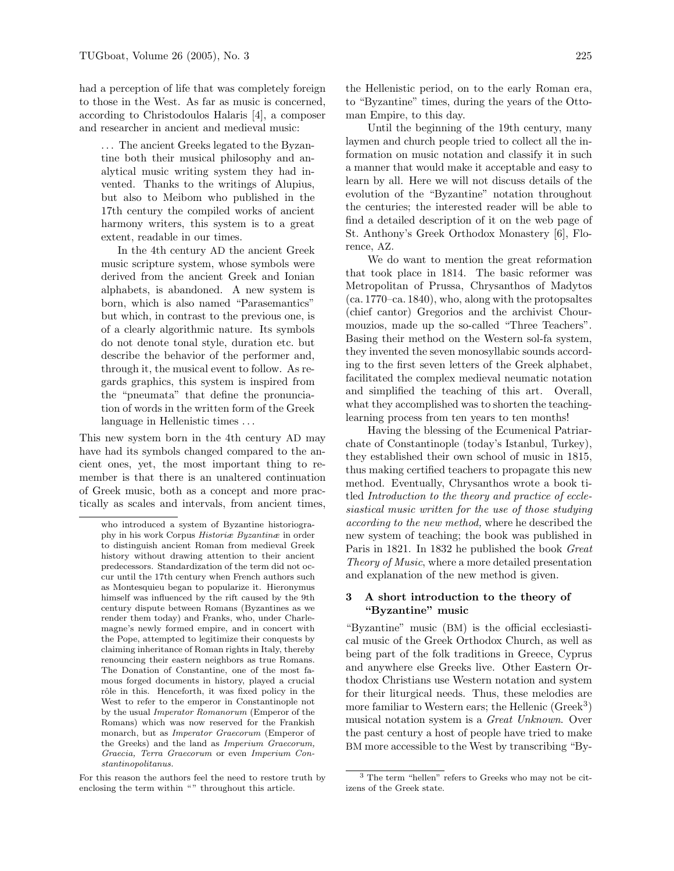had a perception of life that was completely foreign to those in the West. As far as music is concerned, according to Christodoulos Halaris [4], a composer and researcher in ancient and medieval music:

. . . The ancient Greeks legated to the Byzantine both their musical philosophy and analytical music writing system they had invented. Thanks to the writings of Alupius, but also to Meibom who published in the 17th century the compiled works of ancient harmony writers, this system is to a great extent, readable in our times.

In the 4th century AD the ancient Greek music scripture system, whose symbols were derived from the ancient Greek and Ionian alphabets, is abandoned. A new system is born, which is also named "Parasemantics" but which, in contrast to the previous one, is of a clearly algorithmic nature. Its symbols do not denote tonal style, duration etc. but describe the behavior of the performer and, through it, the musical event to follow. As regards graphics, this system is inspired from the "pneumata" that define the pronunciation of words in the written form of the Greek language in Hellenistic times . . .

This new system born in the 4th century AD may have had its symbols changed compared to the ancient ones, yet, the most important thing to remember is that there is an unaltered continuation of Greek music, both as a concept and more practically as scales and intervals, from ancient times, the Hellenistic period, on to the early Roman era, to "Byzantine" times, during the years of the Ottoman Empire, to this day.

Until the beginning of the 19th century, many laymen and church people tried to collect all the information on music notation and classify it in such a manner that would make it acceptable and easy to learn by all. Here we will not discuss details of the evolution of the "Byzantine" notation throughout the centuries; the interested reader will be able to find a detailed description of it on the web page of St. Anthony's Greek Orthodox Monastery [6], Florence, AZ.

We do want to mention the great reformation that took place in 1814. The basic reformer was Metropolitan of Prussa, Chrysanthos of Madytos (ca. 1770–ca. 1840), who, along with the protopsaltes (chief cantor) Gregorios and the archivist Chourmouzios, made up the so-called "Three Teachers". Basing their method on the Western sol-fa system, they invented the seven monosyllabic sounds according to the first seven letters of the Greek alphabet, facilitated the complex medieval neumatic notation and simplified the teaching of this art. Overall, what they accomplished was to shorten the teachinglearning process from ten years to ten months!

Having the blessing of the Ecumenical Patriarchate of Constantinople (today's Istanbul, Turkey), they established their own school of music in 1815, thus making certified teachers to propagate this new method. Eventually, Chrysanthos wrote a book titled Introduction to the theory and practice of ecclesiastical music written for the use of those studying according to the new method, where he described the new system of teaching; the book was published in Paris in 1821. In 1832 he published the book Great Theory of Music, where a more detailed presentation and explanation of the new method is given.

### 3 A short introduction to the theory of "Byzantine" music

"Byzantine" music (BM) is the official ecclesiastical music of the Greek Orthodox Church, as well as being part of the folk traditions in Greece, Cyprus and anywhere else Greeks live. Other Eastern Orthodox Christians use Western notation and system for their liturgical needs. Thus, these melodies are more familiar to Western ears; the Hellenic (Greek<sup>3</sup>) musical notation system is a Great Unknown. Over the past century a host of people have tried to make BM more accessible to the West by transcribing "By-

who introduced a system of Byzantine historiography in his work Corpus Historiæ Byzantinæ in order to distinguish ancient Roman from medieval Greek history without drawing attention to their ancient predecessors. Standardization of the term did not occur until the 17th century when French authors such as Montesquieu began to popularize it. Hieronymus himself was influenced by the rift caused by the 9th century dispute between Romans (Byzantines as we render them today) and Franks, who, under Charlemagne's newly formed empire, and in concert with the Pope, attempted to legitimize their conquests by claiming inheritance of Roman rights in Italy, thereby renouncing their eastern neighbors as true Romans. The Donation of Constantine, one of the most famous forged documents in history, played a crucial rôle in this. Henceforth, it was fixed policy in the West to refer to the emperor in Constantinople not by the usual Imperator Romanorum (Emperor of the Romans) which was now reserved for the Frankish monarch, but as Imperator Graecorum (Emperor of the Greeks) and the land as Imperium Graecorum, Graecia, Terra Graecorum or even Imperium Constantinopolitanus.

For this reason the authors feel the need to restore truth by enclosing the term within "" throughout this article.

<sup>3</sup> The term "hellen" refers to Greeks who may not be citizens of the Greek state.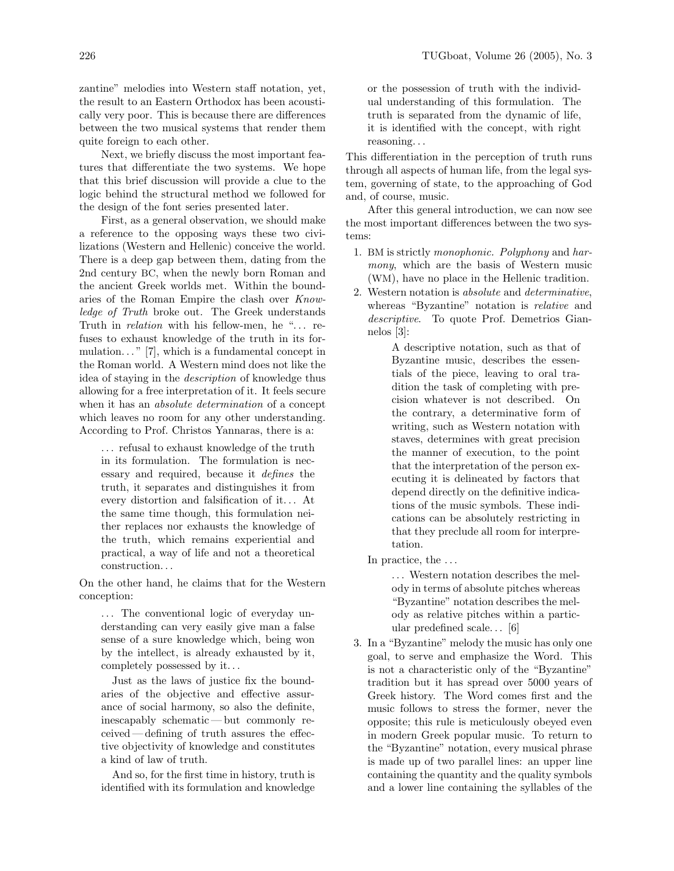zantine" melodies into Western staff notation, yet, the result to an Eastern Orthodox has been acoustically very poor. This is because there are differences between the two musical systems that render them quite foreign to each other.

Next, we briefly discuss the most important features that differentiate the two systems. We hope that this brief discussion will provide a clue to the logic behind the structural method we followed for the design of the font series presented later.

First, as a general observation, we should make a reference to the opposing ways these two civilizations (Western and Hellenic) conceive the world. There is a deep gap between them, dating from the 2nd century BC, when the newly born Roman and the ancient Greek worlds met. Within the boundaries of the Roman Empire the clash over Knowledge of Truth broke out. The Greek understands Truth in *relation* with his fellow-men, he "... refuses to exhaust knowledge of the truth in its formulation.  $\cdot$  7.  $\vert$ 7, which is a fundamental concept in the Roman world. A Western mind does not like the idea of staying in the description of knowledge thus allowing for a free interpretation of it. It feels secure when it has an absolute determination of a concept which leaves no room for any other understanding. According to Prof. Christos Yannaras, there is a:

. . . refusal to exhaust knowledge of the truth in its formulation. The formulation is necessary and required, because it defines the truth, it separates and distinguishes it from every distortion and falsification of it. . . At the same time though, this formulation neither replaces nor exhausts the knowledge of the truth, which remains experiential and practical, a way of life and not a theoretical construction. . .

On the other hand, he claims that for the Western conception:

... The conventional logic of everyday understanding can very easily give man a false sense of a sure knowledge which, being won by the intellect, is already exhausted by it, completely possessed by it. . .

Just as the laws of justice fix the boundaries of the objective and effective assurance of social harmony, so also the definite, inescapably schematic — but commonly received —defining of truth assures the effective objectivity of knowledge and constitutes a kind of law of truth.

And so, for the first time in history, truth is identified with its formulation and knowledge or the possession of truth with the individual understanding of this formulation. The truth is separated from the dynamic of life, it is identified with the concept, with right reasoning. . .

This differentiation in the perception of truth runs through all aspects of human life, from the legal system, governing of state, to the approaching of God and, of course, music.

After this general introduction, we can now see the most important differences between the two systems:

- 1. BM is strictly monophonic. Polyphony and harmony, which are the basis of Western music (WM), have no place in the Hellenic tradition.
- 2. Western notation is absolute and determinative, whereas "Byzantine" notation is relative and descriptive. To quote Prof. Demetrios Giannelos [3]:

A descriptive notation, such as that of Byzantine music, describes the essentials of the piece, leaving to oral tradition the task of completing with precision whatever is not described. On the contrary, a determinative form of writing, such as Western notation with staves, determines with great precision the manner of execution, to the point that the interpretation of the person executing it is delineated by factors that depend directly on the definitive indications of the music symbols. These indications can be absolutely restricting in that they preclude all room for interpretation.

In practice, the . . .

 $\ldots$  . Western notation describes the melody in terms of absolute pitches whereas "Byzantine" notation describes the melody as relative pitches within a particular predefined scale. . . [6]

3. In a "Byzantine" melody the music has only one goal, to serve and emphasize the Word. This is not a characteristic only of the "Byzantine" tradition but it has spread over 5000 years of Greek history. The Word comes first and the music follows to stress the former, never the opposite; this rule is meticulously obeyed even in modern Greek popular music. To return to the "Byzantine" notation, every musical phrase is made up of two parallel lines: an upper line containing the quantity and the quality symbols and a lower line containing the syllables of the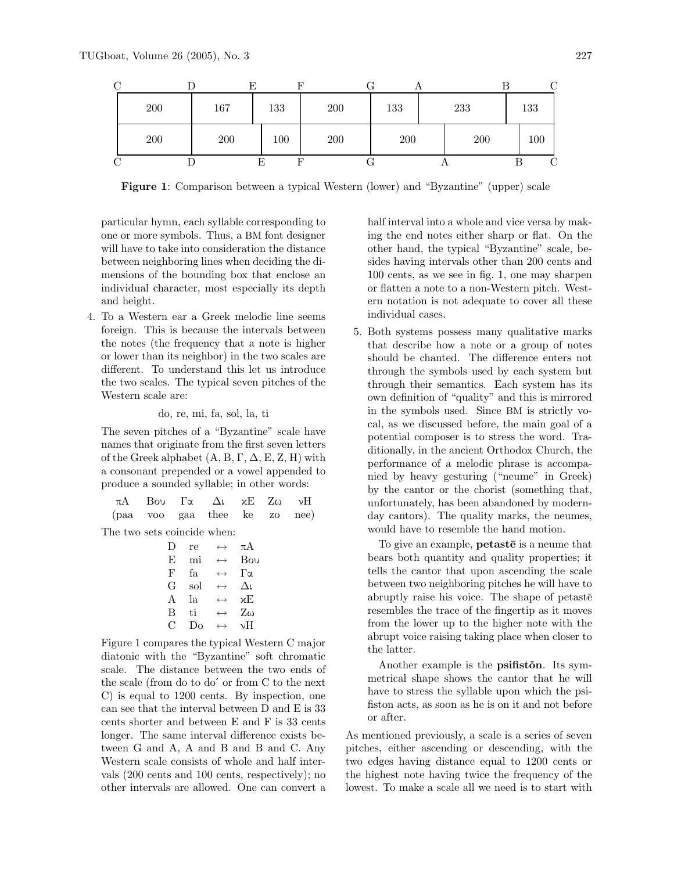| ⌒                  |         |     |     |     |     |     |     |     |
|--------------------|---------|-----|-----|-----|-----|-----|-----|-----|
|                    | $200\,$ | 167 | 133 | 200 | 133 | 233 |     | 133 |
|                    | 200     | 200 | 100 | 200 | 200 |     | 200 | 100 |
| $\curvearrowright$ |         |     |     |     |     |     |     |     |

Figure 1: Comparison between a typical Western (lower) and "Byzantine" (upper) scale

particular hymn, each syllable corresponding to one or more symbols. Thus, a BM font designer will have to take into consideration the distance between neighboring lines when deciding the dimensions of the bounding box that enclose an individual character, most especially its depth and height.

4. To a Western ear a Greek melodic line seems foreign. This is because the intervals between the notes (the frequency that a note is higher or lower than its neighbor) in the two scales are different. To understand this let us introduce the two scales. The typical seven pitches of the Western scale are:

#### do, re, mi, fa, sol, la, ti

The seven pitches of a "Byzantine" scale have names that originate from the first seven letters of the Greek alphabet  $(A, B, \Gamma, \Delta, E, Z, H)$  with a consonant prepended or a vowel appended to produce a sounded syllable; in other words:

|  | $\pi A$ Bou $\Gamma \alpha$ $\Delta t$ $\kappa E$ $Z\omega$ $\gamma H$ |  |  |
|--|------------------------------------------------------------------------|--|--|
|  | (paa voo gaa thee ke zo nee)                                           |  |  |

The two sets coincide when:

| Ð | re  | $\leftrightarrow$     | πA           |
|---|-----|-----------------------|--------------|
| E | mi  | $\leftrightarrow$     | Bou          |
| F | fа. | $\leftrightarrow$     | Гα           |
| G | sol | $\leftrightarrow$     | Δī           |
| A | la  | $\longleftrightarrow$ | χE           |
| B | ti  | $\leftrightarrow$     | $Z_{\omega}$ |
| C | Do  | $\leftrightarrow$     | νH           |
|   |     |                       |              |

Figure 1 compares the typical Western C major diatonic with the "Byzantine" soft chromatic scale. The distance between the two ends of the scale (from do to do´ or from C to the next C) is equal to 1200 cents. By inspection, one can see that the interval between D and E is 33 cents shorter and between E and F is 33 cents longer. The same interval difference exists between G and A, A and B and B and C. Any Western scale consists of whole and half intervals (200 cents and 100 cents, respectively); no other intervals are allowed. One can convert a half interval into a whole and vice versa by making the end notes either sharp or flat. On the other hand, the typical "Byzantine" scale, besides having intervals other than 200 cents and 100 cents, as we see in fig. 1, one may sharpen or flatten a note to a non-Western pitch. Western notation is not adequate to cover all these individual cases.

5. Both systems possess many qualitative marks that describe how a note or a group of notes should be chanted. The difference enters not through the symbols used by each system but through their semantics. Each system has its own definition of "quality" and this is mirrored in the symbols used. Since BM is strictly vocal, as we discussed before, the main goal of a potential composer is to stress the word. Traditionally, in the ancient Orthodox Church, the performance of a melodic phrase is accompanied by heavy gesturing ("neume" in Greek) by the cantor or the chorist (something that, unfortunately, has been abandoned by modernday cantors). The quality marks, the neumes, would have to resemble the hand motion.

To give an example,  $\mathbf{p}$  etast $\bar{\mathbf{e}}$  is a neume that bears both quantity and quality properties; it tells the cantor that upon ascending the scale between two neighboring pitches he will have to abruptly raise his voice. The shape of petaste resembles the trace of the fingertip as it moves from the lower up to the higher note with the abrupt voice raising taking place when closer to the latter.

Another example is the **psifiston**. Its symmetrical shape shows the cantor that he will have to stress the syllable upon which the psifiston acts, as soon as he is on it and not before or after.

As mentioned previously, a scale is a series of seven pitches, either ascending or descending, with the two edges having distance equal to 1200 cents or the highest note having twice the frequency of the lowest. To make a scale all we need is to start with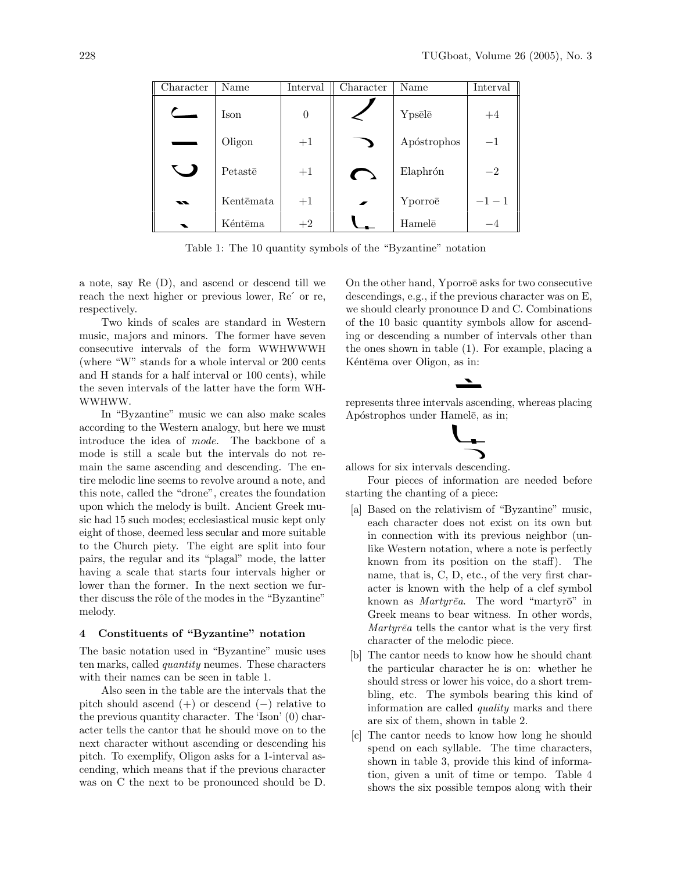| Character    | Name      | Interval | Character      | Name        | Interval |
|--------------|-----------|----------|----------------|-------------|----------|
|              | Ison      | $\theta$ |                | Ypsēlē      | $+4$     |
|              | Oligon    | $+1$     |                | Apóstrophos | $-1$     |
| $\sim$ 1     | Petastē   | $+1$     | $\sqrt{2}$     | Elaphrón    | $-2$     |
| $\mathbf{z}$ | Kentēmata | $+1$     | $\overline{r}$ | Yporroe     | $-1-1$   |
|              | Kéntēma   | $+2$     |                | Hamele      | -4       |

Table 1: The 10 quantity symbols of the "Byzantine" notation

a note, say Re (D), and ascend or descend till we reach the next higher or previous lower, Re´ or re, respectively.

Two kinds of scales are standard in Western music, majors and minors. The former have seven consecutive intervals of the form WWHWWWH (where "W" stands for a whole interval or 200 cents and H stands for a half interval or 100 cents), while the seven intervals of the latter have the form WH-WWHWW.

In "Byzantine" music we can also make scales according to the Western analogy, but here we must introduce the idea of mode. The backbone of a mode is still a scale but the intervals do not remain the same ascending and descending. The entire melodic line seems to revolve around a note, and this note, called the "drone", creates the foundation upon which the melody is built. Ancient Greek music had 15 such modes; ecclesiastical music kept only eight of those, deemed less secular and more suitable to the Church piety. The eight are split into four pairs, the regular and its "plagal" mode, the latter having a scale that starts four intervals higher or lower than the former. In the next section we further discuss the rôle of the modes in the "Byzantine" melody.

#### 4 Constituents of "Byzantine" notation

The basic notation used in "Byzantine" music uses ten marks, called quantity neumes. These characters with their names can be seen in table 1.

Also seen in the table are the intervals that the pitch should ascend  $(+)$  or descend  $(-)$  relative to the previous quantity character. The 'Ison' (0) character tells the cantor that he should move on to the next character without ascending or descending his pitch. To exemplify, Oligon asks for a 1-interval ascending, which means that if the previous character was on C the next to be pronounced should be D. On the other hand, Yporroë asks for two consecutive descendings, e.g., if the previous character was on E, we should clearly pronounce D and C. Combinations of the 10 basic quantity symbols allow for ascending or descending a number of intervals other than the ones shown in table (1). For example, placing a Kéntēma over Oligon, as in:

### 

represents three intervals ascending, whereas placing Apóstrophos under Hamelē, as in;



allows for six intervals descending.

Four pieces of information are needed before starting the chanting of a piece:

- [a] Based on the relativism of "Byzantine" music, each character does not exist on its own but in connection with its previous neighbor (unlike Western notation, where a note is perfectly known from its position on the staff). The name, that is, C, D, etc., of the very first character is known with the help of a clef symbol known as *Martyr* $\bar{e}a$ . The word "martyr $\bar{o}$ " in Greek means to bear witness. In other words,  $Martyr\bar{e}a$  tells the cantor what is the very first character of the melodic piece.
- [b] The cantor needs to know how he should chant the particular character he is on: whether he should stress or lower his voice, do a short trembling, etc. The symbols bearing this kind of information are called quality marks and there are six of them, shown in table 2.
- [c] The cantor needs to know how long he should spend on each syllable. The time characters, shown in table 3, provide this kind of information, given a unit of time or tempo. Table 4 shows the six possible tempos along with their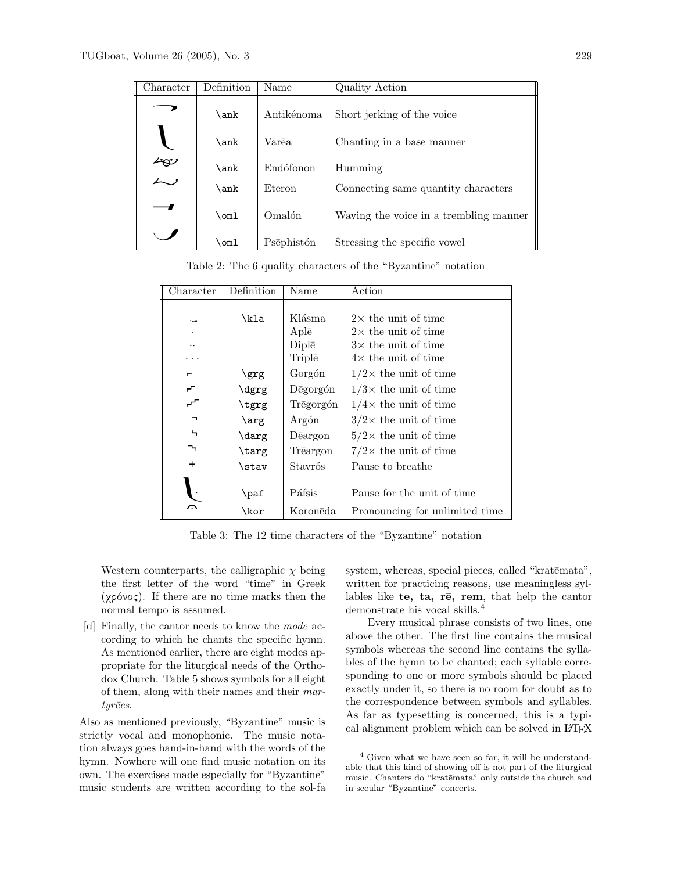| Character      | Definition    | Name       | Quality Action                         |
|----------------|---------------|------------|----------------------------------------|
|                | \ank          | Antikénoma | Short jerking of the voice             |
|                | \ank          | Varēa      | Chanting in a base manner              |
| رہے<br>مسلم    | \ank          | Endófonon  | Humming                                |
| Eteron<br>\ank |               |            | Connecting same quantity characters    |
|                | $\text{Com}1$ | Omalón     | Waving the voice in a trembling manner |
|                | \oml          | Psēphistón | Stressing the specific vowel           |

Table 2: The 6 quality characters of the "Byzantine" notation

| Character      | Definition | Name      | Action                         |
|----------------|------------|-----------|--------------------------------|
|                |            |           |                                |
| $\check{ }$    | \kla       | Klásma    | $2\times$ the unit of time     |
|                |            | Aplē      | $2\times$ the unit of time     |
|                |            | Diplē     | $3\times$ the unit of time     |
|                |            | Triplē    | $4\times$ the unit of time     |
| п              | \grg       | Gorgón    | $1/2\times$ the unit of time   |
| ᠇᠇             | \dgrg      | Degorgón  | $1/3\times$ the unit of time   |
| ╌              | \tgrg      | Trēgorgón | $1/4\times$ the unit of time   |
| $\blacksquare$ | $\arg$     | Argón     | $3/2\times$ the unit of time   |
| ь              | \darg      | Deargon   | $5/2\times$ the unit of time   |
| ┺              | \targ      | Trēargon  | $7/2\times$ the unit of time   |
| $\ddot{}$      | \stav      | Stavrós   | Pause to breathe               |
|                |            |           |                                |
|                | \paf       | Páfsis    | Pause for the unit of time     |
| ⌒              | \kor       | Koronēda  | Pronouncing for unlimited time |

Table 3: The 12 time characters of the "Byzantine" notation

Western counterparts, the calligraphic  $\chi$  being the first letter of the word "time" in Greek (χρόνος). If there are no time marks then the normal tempo is assumed.

[d] Finally, the cantor needs to know the mode according to which he chants the specific hymn. As mentioned earlier, there are eight modes appropriate for the liturgical needs of the Orthodox Church. Table 5 shows symbols for all eight of them, along with their names and their mar $tyr\bar e es.$ 

Also as mentioned previously, "Byzantine" music is strictly vocal and monophonic. The music notation always goes hand-in-hand with the words of the hymn. Nowhere will one find music notation on its own. The exercises made especially for "Byzantine" music students are written according to the sol-fa

system, whereas, special pieces, called "kratēmata", written for practicing reasons, use meaningless syllables like te, ta,  $r\bar{e}$ , rem, that help the cantor demonstrate his vocal skills.<sup>4</sup>

Every musical phrase consists of two lines, one above the other. The first line contains the musical symbols whereas the second line contains the syllables of the hymn to be chanted; each syllable corresponding to one or more symbols should be placed exactly under it, so there is no room for doubt as to the correspondence between symbols and syllables. As far as typesetting is concerned, this is a typical alignment problem which can be solved in L<sup>A</sup>TEX

<sup>4</sup> Given what we have seen so far, it will be understandable that this kind of showing off is not part of the liturgical music. Chanters do "kratēmata" only outside the church and in secular "Byzantine" concerts.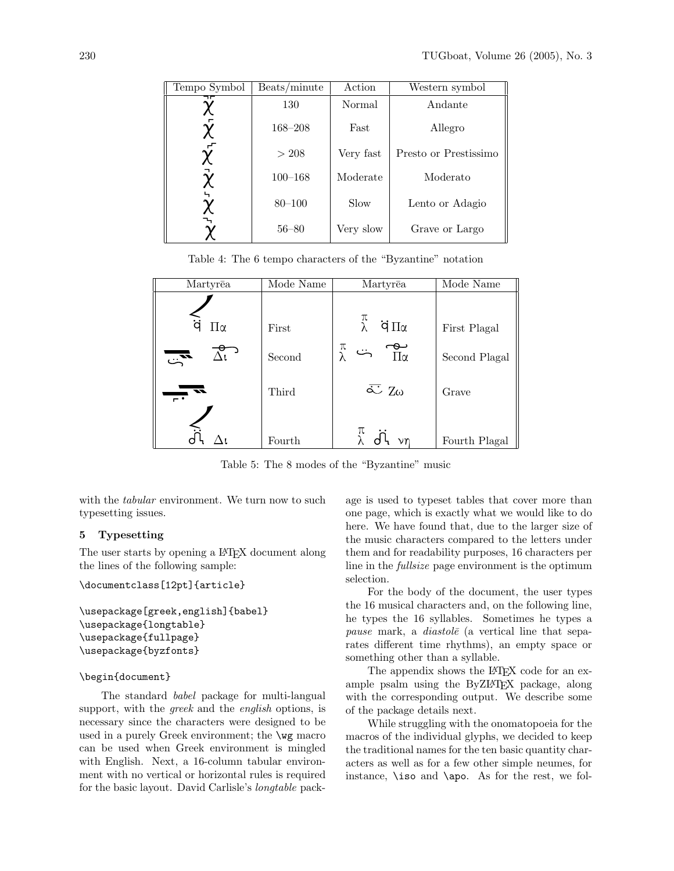| Tempo Symbol | Beats/minute | Action    | Western symbol        |
|--------------|--------------|-----------|-----------------------|
| ┑┍           | 130          | Normal    | Andante               |
|              | $168 - 208$  | Fast      | Allegro               |
|              | > 208        | Very fast | Presto or Prestissimo |
|              | $100 - 168$  | Moderate  | Moderato              |
|              | $80 - 100$   | Slow      | Lento or Adagio       |
|              | $56 - 80$    | Very slow | Grave or Largo        |

Table 4: The 6 tempo characters of the "Byzantine" notation

| Martyrea                 | Mode Name | Martyrea                         | Mode Name     |
|--------------------------|-----------|----------------------------------|---------------|
| ä<br>Пα                  | First     | π<br>λ<br>$\dot{q} \prod \alpha$ | First Plagal  |
|                          |           |                                  |               |
| $\overline{\mathbb{Z}}$  | Second    | π<br>مح<br>∏α                    | Second Plagal |
| $\overline{\phantom{a}}$ | Third     | $\overline{\sim}$ Zω             | Grave         |
|                          | Fourth    | π<br>$\vee r$                    | Fourth Plagal |

Table 5: The 8 modes of the "Byzantine" music

with the *tabular* environment. We turn now to such typesetting issues.

#### 5 Typesetting

The user starts by opening a L<sup>A</sup>T<sub>E</sub>X document along the lines of the following sample:

```
\documentclass[12pt]{article}
```

```
\usepackage[greek,english]{babel}
\usepackage{longtable}
\usepackage{fullpage}
\usepackage{byzfonts}
```
### \begin{document}

The standard babel package for multi-langual support, with the *greek* and the *english* options, is necessary since the characters were designed to be used in a purely Greek environment; the \wg macro can be used when Greek environment is mingled with English. Next, a 16-column tabular environment with no vertical or horizontal rules is required for the basic layout. David Carlisle's longtable package is used to typeset tables that cover more than one page, which is exactly what we would like to do here. We have found that, due to the larger size of the music characters compared to the letters under them and for readability purposes, 16 characters per line in the fullsize page environment is the optimum selection.

For the body of the document, the user types the 16 musical characters and, on the following line, he types the 16 syllables. Sometimes he types a pause mark, a *diastol* $\bar{e}$  (a vertical line that separates different time rhythms), an empty space or something other than a syllable.

The appendix shows the L<sup>AT</sup>EX code for an example psalm using the ByZL<sup>A</sup>TEX package, along with the corresponding output. We describe some of the package details next.

While struggling with the onomatopoeia for the macros of the individual glyphs, we decided to keep the traditional names for the ten basic quantity characters as well as for a few other simple neumes, for instance, \iso and \apo. As for the rest, we fol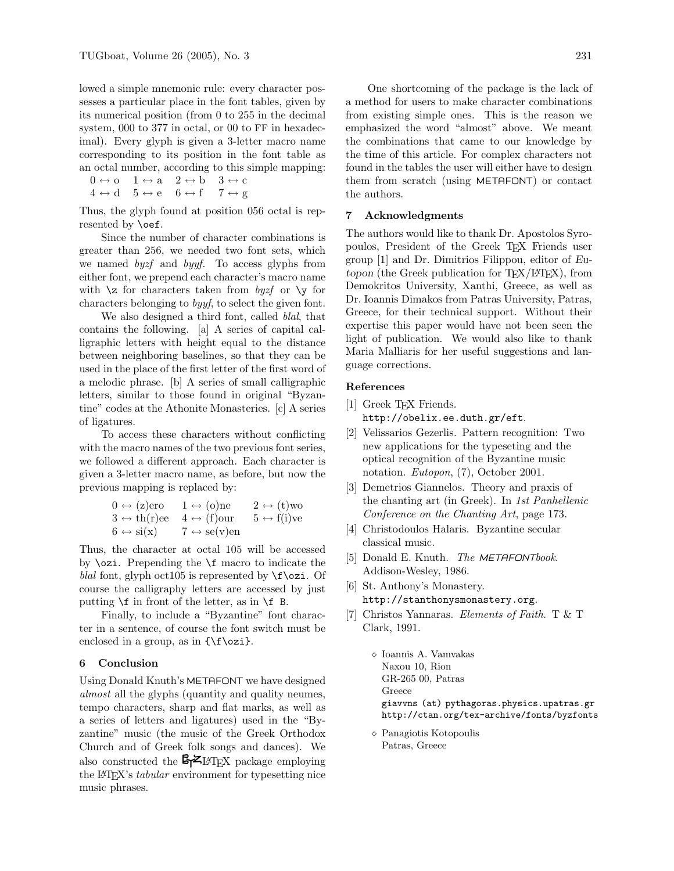lowed a simple mnemonic rule: every character possesses a particular place in the font tables, given by its numerical position (from 0 to 255 in the decimal system, 000 to 377 in octal, or 00 to FF in hexadecimal). Every glyph is given a 3-letter macro name corresponding to its position in the font table as an octal number, according to this simple mapping:

 $0 \leftrightarrow o \quad 1 \leftrightarrow a \quad 2 \leftrightarrow b \quad 3 \leftrightarrow c$  $4 \leftrightarrow d$  5  $\leftrightarrow e$  6  $\leftrightarrow$  f 7  $\leftrightarrow g$ 

Thus, the glyph found at position 056 octal is represented by **\oef**.

Since the number of character combinations is greater than 256, we needed two font sets, which we named byzf and byyf. To access glyphs from either font, we prepend each character's macro name with  $\zeta$  for characters taken from byze or  $\zeta$  for characters belonging to byyf, to select the given font.

We also designed a third font, called *blal*, that contains the following. [a] A series of capital calligraphic letters with height equal to the distance between neighboring baselines, so that they can be used in the place of the first letter of the first word of a melodic phrase. [b] A series of small calligraphic letters, similar to those found in original "Byzantine" codes at the Athonite Monasteries. [c] A series of ligatures.

To access these characters without conflicting with the macro names of the two previous font series, we followed a different approach. Each character is given a 3-letter macro name, as before, but now the previous mapping is replaced by:

| $0 \leftrightarrow (z)$ ero         | $1 \leftrightarrow$ (o)ne           | $2 \leftrightarrow (t)$ wo  |
|-------------------------------------|-------------------------------------|-----------------------------|
| $3 \leftrightarrow \text{th}(r)$ ee | $4 \leftrightarrow (f)$ our         | $5 \leftrightarrow f(i)$ ve |
| $6 \leftrightarrow \text{si}(x)$    | $7 \leftrightarrow \text{se}(v)$ en |                             |

Thus, the character at octal 105 will be accessed by \ozi. Prepending the \f macro to indicate the blal font, glyph oct105 is represented by  $\f \ozi$ . Of course the calligraphy letters are accessed by just putting  $\frown$  in front of the letter, as in  $\frown$  B.

Finally, to include a "Byzantine" font character in a sentence, of course the font switch must be enclosed in a group, as in  $\{\f\oci\}.$ 

#### 6 Conclusion

Using Donald Knuth's METAFONT we have designed almost all the glyphs (quantity and quality neumes, tempo characters, sharp and flat marks, as well as a series of letters and ligatures) used in the "Byzantine" music (the music of the Greek Orthodox Church and of Greek folk songs and dances). We also constructed the  $\mathbb{S} \times \mathbb{M}$ EX package employing the L<sup>A</sup>TEX's tabular environment for typesetting nice music phrases.

One shortcoming of the package is the lack of a method for users to make character combinations from existing simple ones. This is the reason we emphasized the word "almost" above. We meant the combinations that came to our knowledge by the time of this article. For complex characters not found in the tables the user will either have to design them from scratch (using METAFONT) or contact the authors.

### 7 Acknowledgments

The authors would like to thank Dr. Apostolos Syropoulos, President of the Greek TEX Friends user group [1] and Dr. Dimitrios Filippou, editor of Eu $topon$  (the Greek publication for TEX/LATEX), from Demokritos University, Xanthi, Greece, as well as Dr. Ioannis Dimakos from Patras University, Patras, Greece, for their technical support. Without their expertise this paper would have not been seen the light of publication. We would also like to thank Maria Malliaris for her useful suggestions and language corrections.

### References

- [1] Greek TFX Friends. http://obelix.ee.duth.gr/eft.
- [2] Velissarios Gezerlis. Pattern recognition: Two new applications for the typeseting and the optical recognition of the Byzantine music
- [3] Demetrios Giannelos. Theory and praxis of the chanting art (in Greek). In 1st Panhellenic Conference on the Chanting Art, page 173.
- [4] Christodoulos Halaris. Byzantine secular classical music.

notation. Eutopon, (7), October 2001.

- [5] Donald E. Knuth. The METAFONTbook. Addison-Wesley, 1986.
- [6] St. Anthony's Monastery. http://stanthonysmonastery.org.
- [7] Christos Yannaras. Elements of Faith. T & T Clark, 1991.
	- $\diamond$ Ioannis A. Vamvakas Naxou 10, Rion GR-265 00, Patras Greece giavvns (at) pythagoras.physics.upatras.gr http://ctan.org/tex-archive/fonts/byzfonts
	- Panagiotis Kotopoulis Patras, Greece